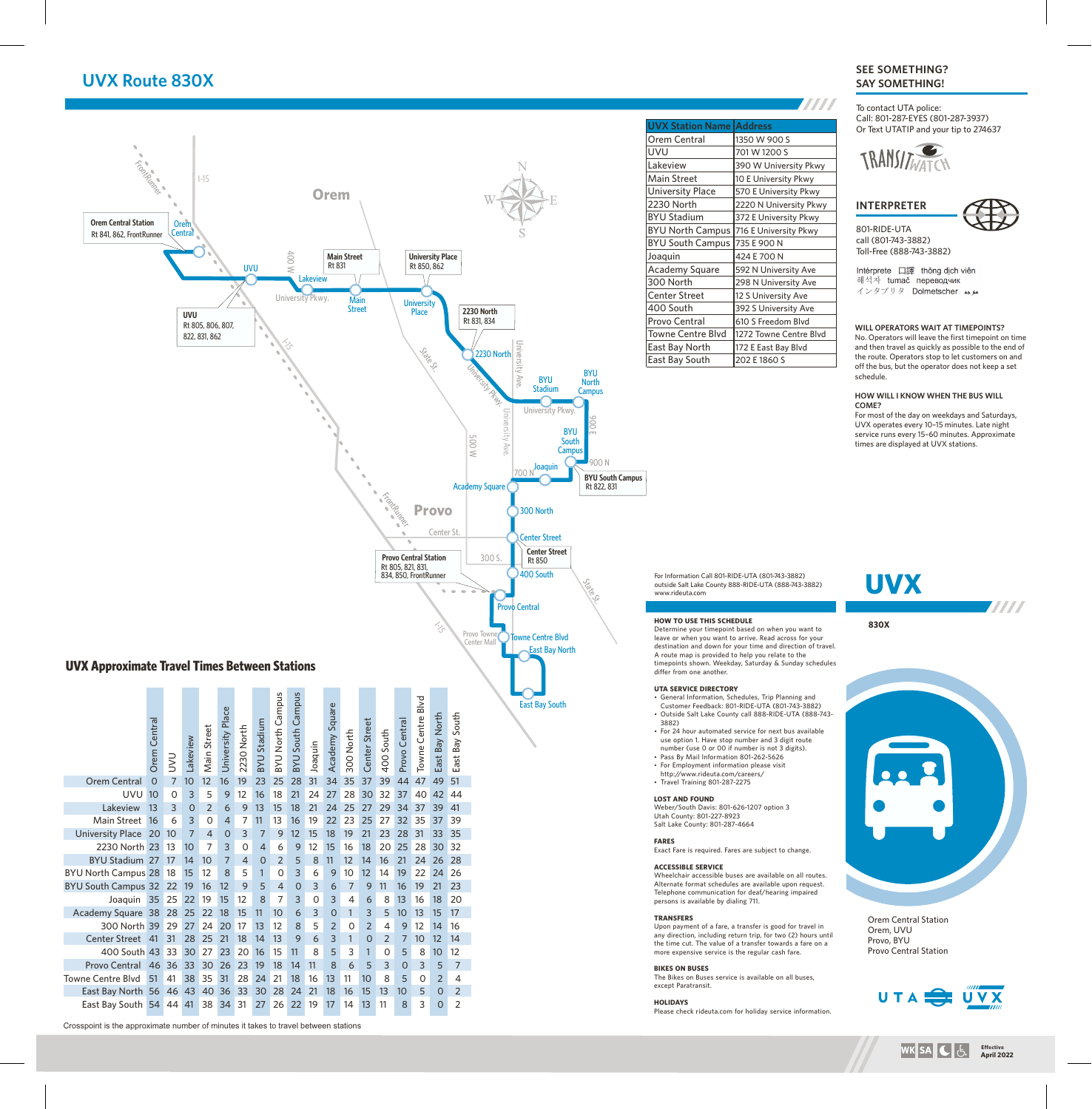## **UVX Route 830X**

#### **ANA UVX Station Name Address** Orem Central | 1350 W 900 S UVU 701 W 1200 S FrontRunner Lakeview 390 W University Pkwy I-15 Main Street 10 E University Pkwy University Place | 570 E University Pkwy **Orem** 2230 North 2220 N University Pkwy BYU Stadium 372 E University Pkwy **Orem Central Station Oren** BYU North Campus 716 E University Pkwy 801-RIDE-UTA Rt 841, 862, FrontRunner **Central** BYU South Campus 735 E 900 N 400 W **Main Street**<br> **Rt 831 Rt 850, 862** Joaquin 424 E 700 N Rt 850, 862 UVU Academy Square | 592 N University Ave **Lakeview** 300 North 298 N University Ave Center Street |12 S University Ave University Pkwy. Main **University** 400 South 392 S University Ave Street **2230 North** Place **UVU** Rt 831, 834 Provo Central 610 S Freedom Blvd Rt 805, 806, 807, Towne Centre Blvd | 1272 Towne Centre Blvd 822, 831, 862  $\mathcal{E}$ University Ave. East Bay North  $\left| \frac{172 \text{ E} \text{ East Bay Blvd}}{ \text{E} \text{ Best Bay Blvd}} \right|$ State St. 2230 North East Bay South 202 E 1860 S University Pkwy. **BYU** schedule. BYU North Stadium **Campus COME?** University Pkwy. University Ave. 900 E BYU 500 W South **Campus** 900 N **Joaquin** 700 N **BYU South Campus** Academy Square Rt 822, 831 FrontRunner **Provo** 300 North Center St. Center Street **Center Street Provo Central Station** 300 S. Rt 850 Rt 805, 821, 831, 834, 850, FrontRunner 400 South For Information Call 801-RIDE-UTA (801-743-3882) **UVX** State St. outside Salt Lake County 888-RIDE-UTA (888-743-3882) www.rideuta.com Provo Central **HOW TO USE THIS SCHEDULE 830X**  $\mathcal{E}$ Determine your timepoint based on when you want to Provo Towne Towne Centre Blvd leave or when you want to arrive. Read across for your Center Mall destination and down for your time and direction of travel. East Bay North A route map is provided to help you relate to the timepoints shown. Weekday, Saturday & Sunday schedules **UVX Approximate Travel Times Between Stations** differ from one another. **UTA SERVICE DIRECTORY** • General Information, Schedules, Trip Planning and BYU Stadium<br>BYU North Campus BYU North Campus BYU South Campus Towne Centre Blvd Towne Centre Blvd East Bay South Customer Feedback: 801-RIDE-UTA (801-743-3882) Academy Square University Place East Bay North • Outside Salt Lake County call 888-RIDE-UTA (888-743-East Bay South Provo Central Crosspoint is the approximate and 22 29 16 12 9 5 4 0 3 6 7<br>
Crosspoint is the approximate number of minutes it takes to travel can be approximate Nataly Sunday 1, The approximate By the stations Orem Central UVU 10 0 3 1 Center Street Provo Central 3882) 2230 North Main Street 400 South 300 North • For 24 hour automated service for next bus available Lakeview use option 1. Have stop number and 3 digit route Joaquin number (use 0 or 00 if number is not 3 digits). • Pass By Mail Information 801-262-5626 • For Employment information please visit http://www.rideuta.com/careers/ Orem Central 0 7 10 12 16 19 23 25 28 31 34 35 37 39 44 47 49 51 • Travel Training 801-287-2275 UVU 10 0 3 5 9 12 16 18 21 24 27 28 30 32 37 40 42 44 **LOST AND FOUND** Lakeview 13 3 0 2 6 9 13 15 18 21 24 25 27 29 34 37 39 41 Weber/South Davis: 801-626-1207 option 3 Utah County: 801-227-8923 Main Street 16 6 3 0 4 7 11 13 16 19 22 23 25 27 32 35 37 39 Salt Lake County: 801-287-4664 University Place 20 10 7 4 0 3 7 9 12 15 18 19 21 23 28 31 33 35 **FARES** 2230 North 23 13 10 7 3 0 4 6 9 12 15 16 18 20 25 28 30 32 Exact Fare is required. Fares are subject to change. BYU Stadium 27 17 14 10 7 4 0 2 5 8 11 12 14 16 21 24 26 28 **ACCESSIBLE SERVICE**  BYU North Campus 28 18 15 12 8 5 1 0 3 6 9 10 12 14 19 22 24 26 Wheelchair accessible buses are available on all routes. BYU South Campus 32 22 19 16 12 9 5 4 0 3 6 7 9 11 16 19 21 23 Alternate format schedules are available upon request. Telephone communication for deaf/hearing impaired Joaquin 35 25 22 19 15 12 8 7 3 0 3 4 6 8 13 16 18 20 persons is available by dialing 711. Academy Square 38 28 25 22 18 15 11 10 6 3 0 1 3 5 10 13 15 17 **TRANSFERS** 300 North 39 29 27 24 20 17 13 12 8 5 2 0 2 4 9 12 14 16 Upon payment of a fare, a transfer is good for travel in any direction, including return trip, for two (2) hours until Center Street 41 31 28 25 21 18 14 13 9 6 3 1 0 2 7 10 12 14 the time cut. The value of a transfer towards a fare on a 400 South 43 33 30 27 23 20 16 15 11 8 5 3 1 0 5 8 10 12 more expensive service is the regular cash fare. Provo Central 46 36 33 30 26 23 19 18 14 11 8 6 5 3 0 3 5 7 **BIKES ON BUSES** Towne Centre Blvd 51 41 38 35 31 28 24 21 18 16 13 11 10 8 5 0 2 4 The Bikes on Buses service is available on all buses, except Paratransit. East Bay North 56 46 43 40 36 33 30 28 24 21 18 16 15 13 10 5 0 2 **HOLIDAYS** East Bay South 54 44 41 38 34 31 27 26 22 19 17 14 13 11 8 3 0 2Please check rideuta.com for holiday service information.

### **SEE SOMETHING? SAY SOMETHING!**

To contact UTA police: Call: 801-287-EYES (801-287-3937) Or Text UTATIP and your tip to 274637



**INTERPRETER**

call (801-743-3882) Toll-Free (888-743-3882)

Intérprete 口譯 thông dịch viên 해석자 tumač переводчик インタプリタ Dolmetscher ムル

#### **WILL OPERATORS WAIT AT TIMEPOINTS?**

No. Operators will leave the first timepoint on time and then travel as quickly as possible to the end of the route. Operators stop to let customers on and off the bus, but the operator does not keep a set

# **HOW WILL I KNOW WHEN THE BUS WILL**

For most of the day on weekdays and Saturdays, UVX operates every 10–15 minutes. Late night service runs every 15–60 minutes. Approximate times are displayed at UVX stations.

**TITTI** 



Orem Central Station Orem, UVU Provo, BYU Provo Central Station





**Effective**<br> **SA**  $\begin{bmatrix} \begin{bmatrix} 1 \\ 2 \end{bmatrix} & \begin{bmatrix} 1 \\ 2 \end{bmatrix} & \begin{bmatrix} 2 \\ 2 \end{bmatrix} \end{bmatrix}$